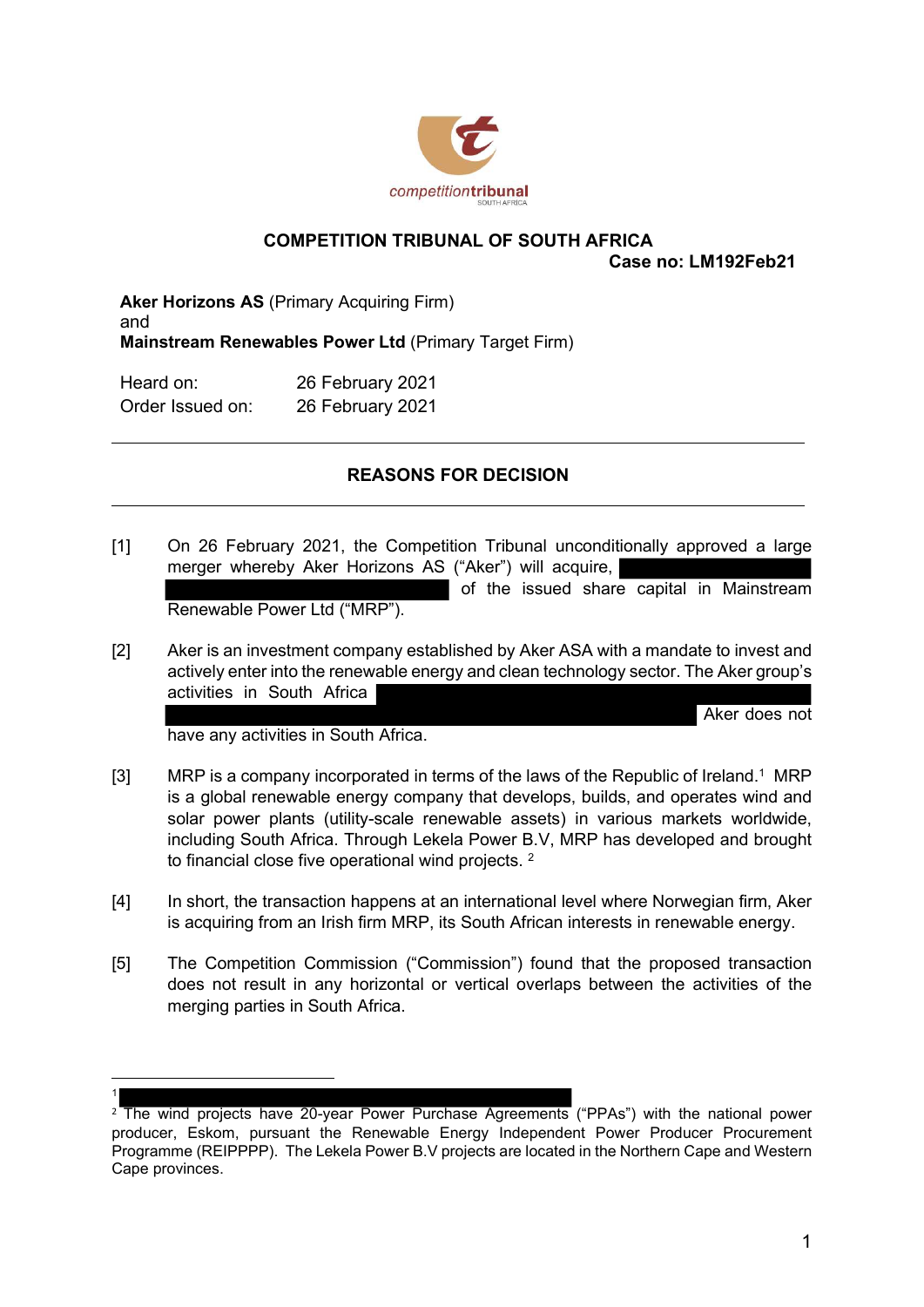

## COMPETITION TRIBUNAL OF SOUTH AFRICA

Case no: LM192Feb21

Aker Horizons AS (Primary Acquiring Firm) and Mainstream Renewables Power Ltd (Primary Target Firm)

| Heard on:        | 26 February 2021 |
|------------------|------------------|
| Order Issued on: | 26 February 2021 |

## REASONS FOR DECISION

- [1] On 26 February 2021, the Competition Tribunal unconditionally approved a large merger whereby Aker Horizons AS ("Aker") will acquire, of the issued share capital in Mainstream Renewable Power Ltd ("MRP").
- [2] Aker is an investment company established by Aker ASA with a mandate to invest and actively enter into the renewable energy and clean technology sector. The Aker group's activities in South Africa

Aker does not

have any activities in South Africa.

1

- [3] MRP is a company incorporated in terms of the laws of the Republic of Ireland.<sup>1</sup> MRP is a global renewable energy company that develops, builds, and operates wind and solar power plants (utility-scale renewable assets) in various markets worldwide, including South Africa. Through Lekela Power B.V, MRP has developed and brought to financial close five operational wind projects. <sup>2</sup>
- [4] In short, the transaction happens at an international level where Norwegian firm, Aker is acquiring from an Irish firm MRP, its South African interests in renewable energy.
- [5] The Competition Commission ("Commission") found that the proposed transaction does not result in any horizontal or vertical overlaps between the activities of the merging parties in South Africa.

<sup>&</sup>lt;sup>2</sup> The wind projects have 20-year Power Purchase Agreements ("PPAs") with the national power producer, Eskom, pursuant the Renewable Energy Independent Power Producer Procurement Programme (REIPPPP). The Lekela Power B.V projects are located in the Northern Cape and Western Cape provinces.